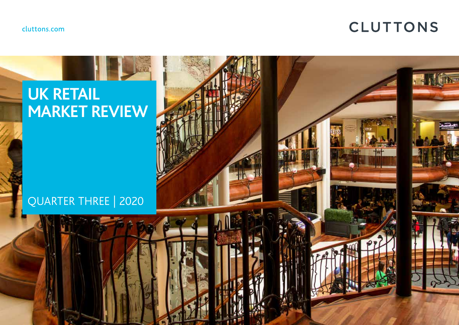cluttons.com

# **CLUTTONS**

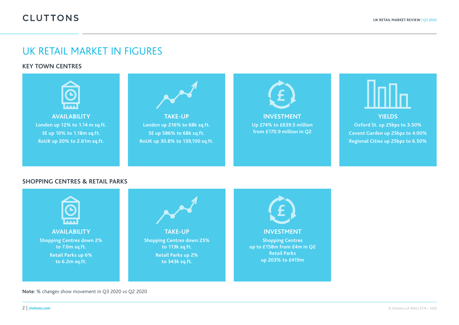## UK RETAIL MARKET IN FIGURES

**KEY TOWN CENTRES**



**Note:** % changes show movement in Q3 2020 vs Q2 2020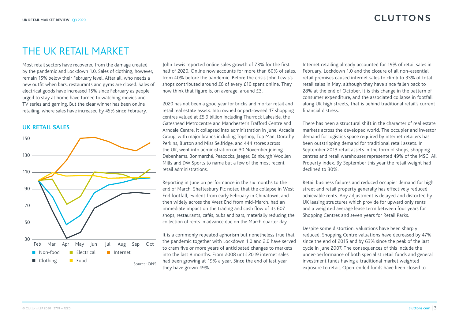### THE UK RETAIL MARKET

Most retail sectors have recovered from the damage created by the pandemic and Lockdown 1.0. Sales of clothing, however, remain 15% below their February level. After all, who needs a new outfit when bars, restaurants and gyms are closed. Sales of electrical goods have increased 15% since February as people urged to stay at home have turned to watching movies and TV series and gaming. But the clear winner has been online retailing, where sales have increased by 45% since February.

#### **UK RETAIL SALES**



John Lewis reported online sales growth of 73% for the first half of 2020. Online now accounts for more than 60% of sales. from 40% before the pandemic. Before the crisis John Lewis's shops contributed around £6 of every £10 spent online. They now think that figure is, on average, around £3.

2020 has not been a good year for bricks and mortar retail and retail real estate assets. Intu owned or part-owned 17 shopping centres valued at £5.9 billion including Thurrock Lakeside, the Gateshead Metrocentre and Manchester's Trafford Centre and Arndale Centre. It collapsed into administration in June. Arcadia Group, with major brands including Topshop, Top Man, Dorothy Perkins, Burton and Miss Selfridge, and 444 stores across the UK, went into administration on 30 November joining Debenhams, Bonmarché, Peacocks, Jaeger, Edinburgh Woollen Mills and DW Sports to name but a few of the most recent retail administrations.

Reporting in June on performance in the six months to the end of March, Shaftesbury Plc noted that the collapse in West End footfall, evident from early February in Chinatown, and then widely across the West End from mid-March, had an immediate impact on the trading and cash flow of its 607 shops, restaurants, cafés, pubs and bars, materially reducing the collection of rents in advance due on the March quarter day.

It is a commonly repeated aphorism but nonetheless true that the pandemic together with Lockdown 1.0 and 2.0 have served to cram five or more years of anticipated changes to markets into the last 8 months. From 2008 until 2019 internet sales had been growing at 19% a year. Since the end of last year they have grown 49%.

Internet retailing already accounted for 19% of retail sales in February. Lockdown 1.0 and the closure of all non-essential retail premises caused internet sales to climb to 33% of total retail sales in May, although they have since fallen back to 28% at the end of October. It is this change in the pattern of consumer expenditure, and the associated collapse in footfall along UK high streets, that is behind traditional retail's current financial distress.

There has been a structural shift in the character of real estate markets across the developed world. The occupier and investor demand for logistics space required by internet retailers has been outstripping demand for traditional retail assets. In September 2013 retail assets in the form of shops, shopping centres and retail warehouses represented 49% of the MSCI All Property index. By September this year the retail weight had declined to 30%.

Retail business failures and reduced occupier demand for high street and retail property generally has effectively reduced achievable rents. Any adjustment is delayed and distorted by UK leasing structures which provide for upward only rents and a weighted average lease term between four years for Shopping Centres and seven years for Retail Parks.

Despite some distortion, valuations have been sharply reduced. Shopping Centre valuations have decreased by 47% since the end of 2015 and by 63% since the peak of the last cycle in June 2007. The consequences of this include the under-performance of both specialist retail funds and general investment funds having a traditional market weighted exposure to retail. Open-ended funds have been closed to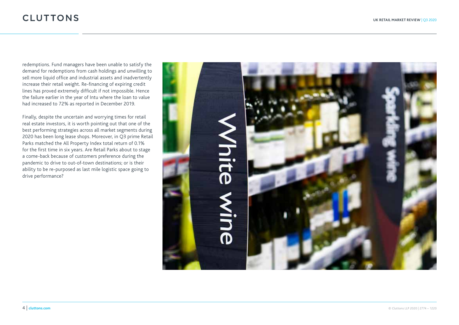redemptions. Fund managers have been unable to satisfy the demand for redemptions from cash holdings and unwilling to sell more liquid office and industrial assets and inadvertently increase their retail weight. Re-financing of expiring credit lines has proved extremely difficult if not impossible. Hence the failure earlier in the year of Intu where the loan to value had increased to 72% as reported in December 2019.

Finally, despite the uncertain and worrying times for retail real estate investors, it is worth pointing out that one of the best performing strategies across all market segments during 2020 has been long lease shops. Moreover, in Q3 prime Retail Parks matched the All Property Index total return of 0.1% for the first time in six years. Are Retail Parks about to stage a come-back because of customers preference during the pandemic to drive to out-of-town destinations; or is their ability to be re-purposed as last mile logistic space going to drive performance?

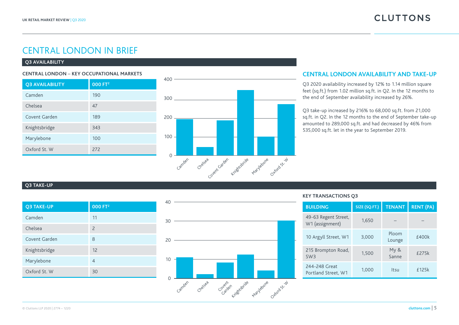### CENTRAL LONDON IN BRIEF

#### **Q3 AVAILABILITY**

| CENTRAL LONDON – KEY OCCUPATIONAL MARKETS |  |  |  |
|-------------------------------------------|--|--|--|
|-------------------------------------------|--|--|--|

| <b>Q3 AVAILABILITY</b> | 000 FT <sup>2</sup> |
|------------------------|---------------------|
| Camden                 | 190                 |
| Chelsea                | 47                  |
| Covent Garden          | 189                 |
| Knightsbridge          | 343                 |
| Marylebone             | 100                 |
| Oxford St. W           | 272                 |



#### **CENTRAL LONDON AVAILABILITY AND TAKE-UP**

Q3 2020 availability increased by 12% to 1.14 million square feet (sq.ft.) from 1.02 million sq.ft. in Q2. In the 12 months to the end of September availability increased by 26%.

Q3 take-up increased by 216% to 68,000 sq.ft. from 21,000 sq.ft. in Q2. In the 12 months to the end of September take-up amounted to 289,000 sq.ft. and had decreased by 46% from 535,000 sq.ft. let in the year to September 2019.

#### **Q3 TAKE-UP**

| Q3 TAKE-UP    | 000 FT <sup>2</sup> |
|---------------|---------------------|
| Camden        | 11                  |
| Chelsea       | $\overline{2}$      |
| Covent Garden | 8                   |
| Knightsbridge | 12                  |
| Marylebone    | 4                   |
| Oxford St. W  | 30                  |



| <b>BUILDING</b>                         | SIZE (SQ.FT.) | <b>TENANT</b>   | <b>RENT (PA)</b> |
|-----------------------------------------|---------------|-----------------|------------------|
| 49-63 Regent Street,<br>W1 (assignment) | 1,650         |                 |                  |
| 10 Argyll Street, W1                    | 3.000         | Ploom<br>Lounge | £400k            |
| 215 Brompton Road,<br>SW <sub>3</sub>   | 1,500         | My &<br>Sanne   | £275k            |
| 244-248 Great<br>Portland Street, W1    | 1,000         | Itsu            | £125k            |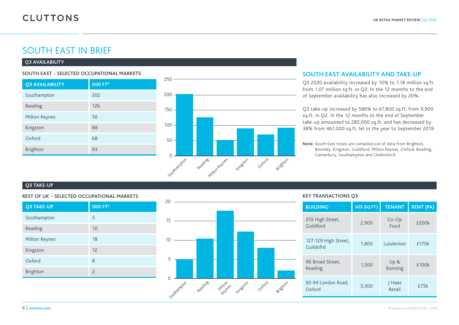### SOUTH EAST IN BRIEF

#### **Q3 AVAILABILITY**

#### **SOUTH EAST** – **SELECTED OCCUPATIONAL MARKETS**

| <b>Q3 AVAILABILITY</b> | 000 FT <sup>2</sup> |
|------------------------|---------------------|
| Southampton            | 202                 |
| Reading                | 126                 |
| Milton Keynes          | 50                  |
| Kingston               | 88                  |
| Oxford                 | 68                  |
| Brighton               | 93                  |



#### **SOUTH EAST AVAILABILITY AND TAKE-UP**

Q3 2020 availability increased by 10% to 1.18 million sq.ft. from 1.07 million sq.ft. in Q2. In the 12 months to the end of September availability has also increased by 20%.

Q3 take-up increased by 586% to 67,800 sq.ft. from 9,900 sq.ft. in Q2. In the 12 months to the end of September take-up amounted to 285,000 sq.ft. and has decreased by 38% from 461,000 sq.ft. let in the year to September 2019.

**Note:** South East totals are compiled out of data from Brighton, Bromley, Kingston, Guildford, Milton Keynes, Oxford, Reading, Canterbury, Southampton and Chelmsford.

#### **Q3 TAKE-UP**

#### **REST OF UK** – **SELECTED OCCUPATIONAL MARKETS**

| <b>Q3 TAKE-UP</b> | 000 FT <sup>2</sup>      |
|-------------------|--------------------------|
| Southampton       | 5                        |
| Reading           | 10                       |
| Milton Keynes     | 18                       |
| Kingston          | 12                       |
| Oxford            | 8                        |
| Brighton          | $\overline{\phantom{0}}$ |



| <b>BUILDING</b>                   | SIZE (SQ.FT.) | <b>TENANT</b>       | <b>RENT (PA)</b> |
|-----------------------------------|---------------|---------------------|------------------|
| 255 High Street,<br>Guildford     | 2,900         | $Co$ - $Op$<br>Food | £200k            |
| 127-129 High Street,<br>Guildofrd | 1,800         | Lululemon           | £170k            |
| 96 Broad Street,<br>Reading       | 1,500         | Up &<br>Running     | £100k            |
| 92-94 London Road,<br>Oxford      | 3,300         | Haas<br>Retail      | £75k             |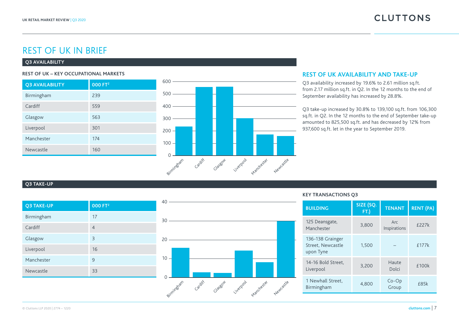### REST OF UK IN BRIEF

#### **Q3 AVAILABILITY**

| <b>Q3 AVAILABILITY</b> | 000 FT <sup>2</sup> |
|------------------------|---------------------|
| Birmingham             | 239                 |
| Cardiff                | 559                 |
| Glasgow                | 563                 |
| Liverpool              | 301                 |
| Manchester             | 174                 |
| Newcastle              | 160                 |



#### **REST OF UK – KEY OCCUPATIONAL MARKETS REST OF UK AVAILABILITY AND TAKE-UP**

Q3 availability increased by 19.6% to 2.61 million sq.ft. from 2.17 million sq.ft. in Q2. In the 12 months to the end of September availability has increased by 28.8%.

Q3 take-up increased by 30.8% to 139,100 sq.ft. from 106,300 sq.ft. in Q2. In the 12 months to the end of September take-up amounted to 825,500 sq.ft. and has decreased by 12% from 937,600 sq.ft. let in the year to September 2019.

#### **Q3 TAKE-UP**

| <b>Q3 TAKE-UP</b> | 000 FT <sup>2</sup> |
|-------------------|---------------------|
| Birmingham        | 17                  |
| Cardiff           | 4                   |
| Glasgow           | 3                   |
| Liverpool         | 16                  |
| Manchester        | 9                   |
| Newcastle         | 33                  |



| <b>BUILDING</b>                                    | SIZE (SQ.<br>FT.) | <b>TENANT</b>        | <b>RENT (PA)</b> |
|----------------------------------------------------|-------------------|----------------------|------------------|
| 125 Deansgate,<br>Manchester                       | 3,800             | Arc<br>Inspirations  | <b>f227k</b>     |
| 136-138 Grainger<br>Street. Newcastle<br>upon Tyne | 1,500             |                      | £177k            |
| 14-16 Bold Street.<br>Liverpool                    | 3,200             | Haute<br>Dolci       | £100k            |
| 1 Newhall Street,<br>Birmingham                    | 4.800             | $Co$ - $Op$<br>Group | £85k             |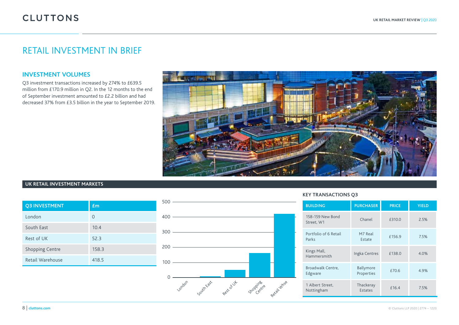### RETAIL INVESTMENT IN BRIEF

#### **INVESTMENT VOLUMES**

Q3 investment transactions increased by 274% to £639.5 million from £170.9 million in Q2. In the 12 months to the end of September investment amounted to £2.2 billion and had decreased 37% from £3.5 billion in the year to September 2019.



#### **UK RETAIL INVESTMENT MARKETS**

| <b>O3 INVESTMENT</b>   | $f_{\rm m}$ |
|------------------------|-------------|
| London                 | $\Omega$    |
| South East             | 10.4        |
| Rest of UK             | 52.3        |
| <b>Shopping Centre</b> | 158.3       |
| Retail Warehouse       | 418.5       |



| <b>BUILDING</b>                | <b>PURCHASER</b>        | <b>PRICE</b> | <b>YIELD</b> |
|--------------------------------|-------------------------|--------------|--------------|
| 158-159 New Bond<br>Street, W1 | Chanel                  | £310.0       | 2.5%         |
| Portfolio of 6 Retail<br>Parks | M7 Real<br>Estate       | £156.9       | 7.5%         |
| Kings Mall,<br>Hammersmith     | Ingka Centres           | £138.0       | 4.0%         |
| Broadwalk Centre,<br>Edgware   | Ballymore<br>Properties | £70.6        | 4.9%         |
| 1 Albert Street,<br>Nottingham | Thackeray<br>Estates    | £16.4        | 7.5%         |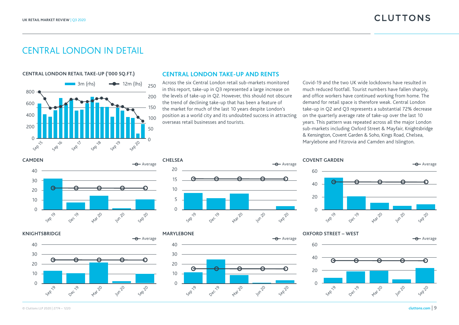### CENTRAL LONDON IN DETAIL

**CENTRAL LONDON RETAIL TAKE-UP ('000 SQ.FT.)**



#### **CENTRAL LONDON TAKE-UP AND RENTS**

Across the six Central London retail sub-markets monitored in this report, take-up in Q3 represented a large increase on the levels of take-up in Q2. However, this should not obscure the trend of declining take-up that has been a feature of the market for much of the last 10 years despite London's position as a world city and its undoubted success in attracting overseas retail businesses and tourists.

Covid-19 and the two UK wide lockdowns have resulted in much reduced footfall. Tourist numbers have fallen sharply, and office workers have continued working from home. The demand for retail space is therefore weak. Central London take-up in Q2 and Q3 represents a substantial 72% decrease on the quarterly average rate of take-up over the last 10 years. This pattern was repeated across all the major London sub-markets including Oxford Street & Mayfair, Knightsbridge & Kensington, Covent Garden & Soho, Kings Road, Chelsea, Marylebone and Fitzrovia and Camden and Islington.















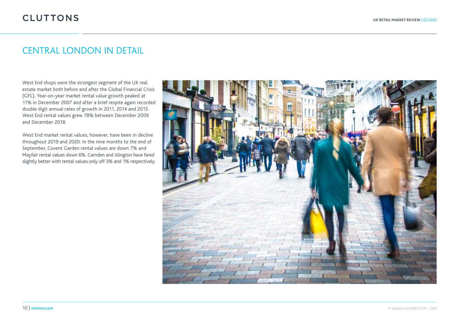### CENTRAL LONDON IN DETAIL

West End shops were the strongest segment of the UK real estate market both before and after the Global Financial Crisis (GFC). Year-on-year market rental value growth peaked at 11% in December 2007 and after a brief respite again recorded double digit annual rates of growth in 2011, 2014 and 2015. West End rental values grew 78% between December 2009 and December 2018.

West End market rental values, however, have been in decline throughout 2019 and 2020. In the nine months to the end of September, Covent Garden rental values are down 7% and Mayfair rental values down 6%. Camden and Islington have fared slightly better with rental values only off 3% and 1% respectively.

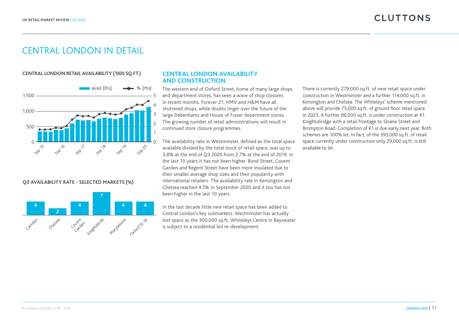### CENTRAL LONDON IN DETAIL

#### **CENTRAL LONDON RETAIL AVAILABILITY ('000 SQ.FT.)**



#### **Q3 AVAILABILITY RATE - SELECTED MARKETS (%)**



#### **CENTRAL LONDON AVAILABILITY AND CONSTRUCTION**

The western end of Oxford Street, home of many large shops and department stores, has seen a wave of shop closures in recent months. Forever 21, HMV and H&M have all shuttered shops, while doubts linger over the future of the large Debenhams and House of Fraser department stores. The growing number of retail administrations will result in continued store closure programmes.

The availability rate in Westminster, defined as the total space available divided by the total stock of retail space, was up to 3.8% at the end of Q3 2020 from 2.7% at the end of 2019. In the last 10 years it has not been higher. Bond Street, Covent Garden and Regent Street have been more insulated due to their smaller average shop sizes and their popularity with international retailers. The availability rate in Kensington and Chelsea reached 4.5% in September 2020 and it too has not been higher in the last 10 years.

In the last decade little new retail space has been added to Central London's key submarkets. Westminster has actually lost space as the 300,000 sq.ft. Whiteleys Centre in Bayswater is subject to a residential led re-development.

There is currently 279,000 sq.ft. of new retail space under construction in Westminster and a further 114,000 sq.ft. in Kensington and Chelsea. The Whiteleys' scheme mentioned above will provide 75,000 sq.ft. of ground floor retail space in 2023. A further 86,000 sq.ft. is under construction at K1 Knightsbridge with a retail frontage to Sloane Street and Brompton Road. Completion of K1 is due early next year. Both schemes are 100% let. In fact, of the 393,000 sq.ft. of retail space currently under construction only 29,000 sq.ft. is still available to let.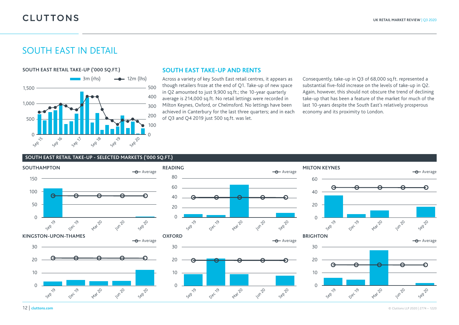### SOUTH EAST IN DETAIL



#### **SOUTH EAST TAKE-UP AND RENTS**

Across a variety of key South East retail centres, it appears as though retailers froze at the end of Q1. Take-up of new space in Q2 amounted to just 9,900 sq.ft.; the 10-year quarterly average is 214,000 sq.ft. No retail lettings were recorded in Milton Keynes, Oxford, or Chelmsford. No lettings have been achieved in Canterbury for the last three quarters; and in each of Q3 and Q4 2019 just 500 sq.ft. was let.

Consequently, take-up in Q3 of 68,000 sq.ft. represented a substantial five-fold increase on the levels of take-up in Q2. Again, however, this should not obscure the trend of declining take-up that has been a feature of the market for much of the last 10-years despite the South East's relatively prosperous economy and its proximity to London.

#### **SOUTH EAST RETAIL TAKE-UP - SELECTED MARKETS ('000 SQ.FT.)**

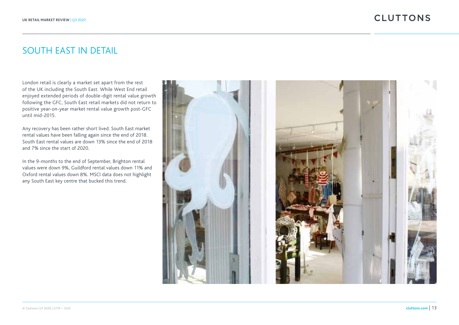### SOUTH EAST IN DETAIL

London retail is clearly a market set apart from the rest of the UK including the South East. While West End retail enjoyed extended periods of double-digit rental value growth following the GFC, South East retail markets did not return to positive year-on-year market rental value growth post-GFC until mid-2015.

Any recovery has been rather short lived. South East market rental values have been falling again since the end of 2018. South East rental values are down 13% since the end of 2018 and 7% since the start of 2020.

In the 9-months to the end of September, Brighton rental values were down 9%, Guildford rental values down 11% and Oxford rental values down 8%. MSCI data does not highlight any South East key centre that bucked this trend.

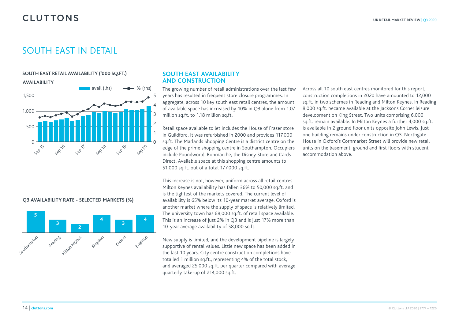### SOUTH EAST IN DETAIL



#### **Q3 AVAILABILITY RATE - SELECTED MARKETS (%)**



#### **SOUTH EAST AVAILABILITY AND CONSTRUCTION**

The growing number of retail administrations over the last few years has resulted in frequent store closure programmes. In aggregate, across 10 key south east retail centres, the amount of available space has increased by 10% in Q3 alone from 1.07 million sq.ft. to 1.18 million sq.ft.

Retail space available to let includes the House of Fraser store in Guildford. It was refurbished in 2000 and provides 117,000 sq.ft. The Marlands Shopping Centre is a district centre on the edge of the prime shopping centre in Southampton. Occupiers include Poundworld, Bonmarche, the Disney Store and Cards Direct. Available space at this shopping centre amounts to 51,000 sq.ft. out of a total 177,000 sq.ft.

This increase is not, however, uniform across all retail centres. Milton Keynes availability has fallen 36% to 50,000 sq.ft. and is the tightest of the markets covered. The current level of availability is 65% below its 10-year market average. Oxford is another market where the supply of space is relatively limited. The university town has 68,000 sq.ft. of retail space available. This is an increase of just 2% in Q3 and is just 17% more than 10-year average availability of 58,000 sq.ft.

New supply is limited, and the development pipeline is largely supportive of rental values. Little new space has been added in the last 10 years. City centre construction completions have totalled 1 million sq.ft., representing 4% of the total stock, and averaged 25,000 sq.ft. per quarter compared with average quarterly take-up of 214,000 sq.ft.

Across all 10 south east centres monitored for this report, construction completions in 2020 have amounted to 12,000 sq.ft. in two schemes in Reading and Milton Keynes. In Reading 8,000 sq.ft. became available at the Jacksons Corner leisure development on King Street. Two units comprising 6,000 sq.ft. remain available. In Milton Keynes a further 4,000 sq.ft. is available in 2 ground floor units opposite John Lewis. Just one building remains under construction in Q3. Northgate House in Oxford's Cornmarket Street will provide new retail units on the basement, ground and first floors with student accommodation above.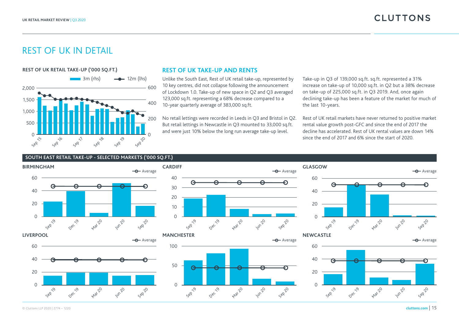### REST OF UK IN DETAIL



#### **REST OF UK TAKE-UP AND RENTS**

Unlike the South East, Rest of UK retail take-up, represented by 10 key centres, did not collapse following the announcement of Lockdown 1.0. Take-up of new space in Q2 and Q3 averaged 123,000 sq.ft. representing a 68% decrease compared to a 10-year quarterly average of 383,000 sq.ft.

No retail lettings were recorded in Leeds in Q3 and Bristol in Q2. But retail lettings in Newcastle in Q3 mounted to 33,000 sq.ft. and were just 10% below the long run average take-up level.

Take-up in Q3 of 139,000 sq.ft. sq.ft. represented a 31% increase on take-up of 10,000 sq.ft. in Q2 but a 38% decrease on take-up of 225,000 sq.ft. in Q3 2019. And, once again declining take-up has been a feature of the market for much of the last 10-years.

Rest of UK retail markets have never returned to positive market rental value growth post-GFC and since the end of 2017 the decline has accelerated. Rest of UK rental values are down 14% since the end of 2017 and 6% since the start of 2020.

#### **SOUTH EAST RETAIL TAKE-UP - SELECTED MARKETS ('000 SQ.FT.)**



© Cluttons LLP 2020 | 2774 – 1220 **cluttons.com** | 15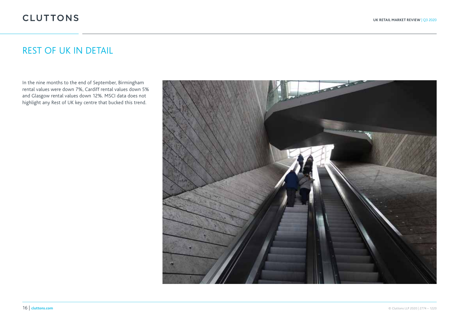## REST OF UK IN DETAIL

In the nine months to the end of September, Birmingham rental values were down 7%, Cardiff rental values down 5% and Glasgow rental values down 12%. MSCI data does not highlight any Rest of UK key centre that bucked this trend.

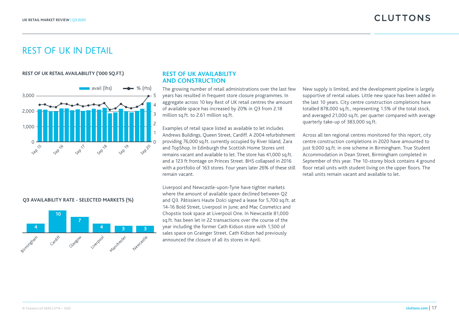### REST OF UK IN DETAIL

#### **REST OF UK RETAIL AVAILABILITY ('000 SQ.FT.)**



#### **REST OF UK AVAILABILITY AND CONSTRUCTION**

The growing number of retail administrations over the last few years has resulted in frequent store closure programmes. In aggregate across 10 key Rest of UK retail centres the amount of available space has increased by 20% in Q3 from 2.18 million sq.ft. to 2.61 million sq.ft.

Examples of retail space listed as available to let includes Andrews Buildings, Queen Street, Cardiff. A 2004 refurbishment providing 76,000 sq.ft. currently occupied by River Island, Zara and TopShop. In Edinburgh the Scottish Home Stores unit remains vacant and available to let. The store has 41,000 sq.ft. and a 123 ft frontage on Princes Street. BHS collapsed in 2016 with a portfolio of 163 stores. Four years later 26% of these still remain vacant.

Liverpool and Newcastle-upon-Tyne have tighter markets where the amount of available space declined between Q2 and Q3. Pâtissiers Haute Dolci signed a lease for 5,700 sq.ft. at 14-16 Bold Street, Liverpool in June; and Mac Cosmetics and Chopstix took space at Liverpool One. In Newcastle 81,000 sq.ft. has been let in 22 transactions over the course of the year including the former Cath Kidson store with 1,500 of sales space on Grainger Street. Cath Kidson had previously announced the closure of all its stores in April.

New supply is limited, and the development pipeline is largely supportive of rental values. Little new space has been added in the last 10 years. City centre construction completions have totalled 878,000 sq.ft., representing 1.5% of the total stock, and averaged 21,000 sq.ft. per quarter compared with average quarterly take-up of 383,000 sq.ft.

Across all ten regional centres monitored for this report, city centre construction completions in 2020 have amounted to just 9,000 sq.ft. in one scheme in Birmingham. True Student Accommodation in Dean Street, Birmingham completed in September of this year. The 10-storey block contains 4 ground floor retail units with student living on the upper floors. The retail units remain vacant and available to let.

#### **Q3 AVAILABILITY RATE - SELECTED MARKETS (%)**

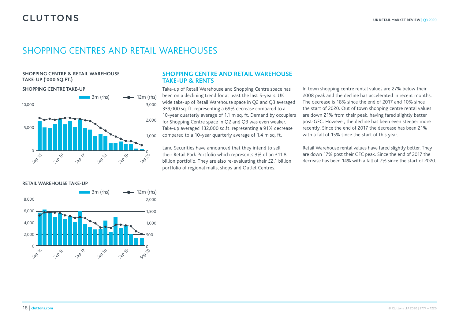### SHOPPING CENTRES AND RETAIL WAREHOUSES

#### **SHOPPING CENTRE & RETAIL WAREHOUSE TAKE-UP ('000 SQ.FT.)**

#### **SHOPPING CENTRE TAKE-UP**



#### **RETAIL WAREHOUSE TAKE-UP**



#### **SHOPPING CENTRE AND RETAIL WAREHOUSE TAKE-UP & RENTS**

Take-up of Retail Warehouse and Shopping Centre space has been on a declining trend for at least the last 5-years. UK wide take-up of Retail Warehouse space in Q2 and Q3 averaged 339,000 sq. ft. representing a 69% decrease compared to a 10-year quarterly average of 1.1 m sq. ft. Demand by occupiers for Shopping Centre space in Q2 and Q3 was even weaker. Take-up averaged 132,000 sq.ft. representing a 91% decrease compared to a 10-year quarterly average of 1.4 m sq. ft.

Land Securities have announced that they intend to sell their Retail Park Portfolio which represents 3% of an £11.8 billion portfolio. They are also re-evaluating their £2.1 billion portfolio of regional malls, shops and Outlet Centres.

In town shopping centre rental values are 27% below their 2008 peak and the decline has accelerated in recent months. The decrease is 18% since the end of 2017 and 10% since the start of 2020. Out of town shopping centre rental values are down 21% from their peak, having fared slightly better post-GFC. However, the decline has been even steeper more recently. Since the end of 2017 the decrease has been 21% with a fall of 15% since the start of this year.

Retail Warehouse rental values have fared slightly better. They are down 17% post their GFC peak. Since the end of 2017 the decrease has been 14% with a fall of 7% since the start of 2020.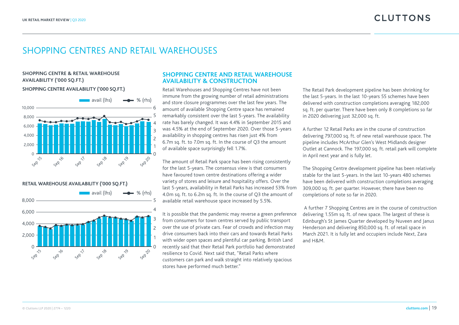### SHOPPING CENTRES AND RETAIL WAREHOUSES

#### **SHOPPING CENTRE & RETAIL WAREHOUSE AVAILABILITY ('000 SQ.FT.)**

#### **SHOPPING CENTRE AVAILABILITY ('000 SQ.FT.)**



**RETAIL WAREHOUSE AVAILABILITY ('000 SQ.FT.)**



#### **SHOPPING CENTRE AND RETAIL WAREHOUSE AVAILABILITY & CONSTRUCTION**

Retail Warehouses and Shopping Centres have not been immune from the growing number of retail administrations and store closure programmes over the last few years. The amount of available Shopping Centre space has remained remarkably consistent over the last 5-years. The availability rate has barely changed. It was 4.4% in September 2015 and was 4.5% at the end of September 2020. Over those 5-years availability in shopping centres has risen just 4% from 6.7m sq. ft. to 7.0m sq. ft. In the course of Q3 the amount of available space surprisingly fell 1.7%.

The amount of Retail Park space has been rising consistently for the last 5-years. The consensus view is that consumers have favoured town centre destinations offering a wider variety of stores and leisure and hospitality offers. Over the last 5-years, availability in Retail Parks has increased 53% from 4.0m sq. ft. to 6.2m sq. ft. In the course of Q3 the amount of available retail warehouse space increased by 5.5%.

It is possible that the pandemic may reverse a green preference from consumers for town centres served by public transport over the use of private cars. Fear of crowds and infection may drive consumers back into their cars and towards Retail Parks with wider open spaces and plentiful car parking. British Land recently said that their Retail Park portfolio had demonstrated resilience to Covid. Next said that, "Retail Parks where customers can park and walk straight into relatively spacious stores have performed much better."

The Retail Park development pipeline has been shrinking for the last 5-years. In the last 10-years 55 schemes have been delivered with construction completions averaging 182,000 sq. ft. per quarter. There have been only 8 completions so far in 2020 delivering just 32,000 sq. ft.

A further 12 Retail Parks are in the course of construction delivering 797,000 sq. ft. of new retail warehouse space. The pipeline includes McArthur Glen's West Midlands designer Outlet at Cannock. The 197,000 sq. ft. retail park will complete in April next year and is fully let.

The Shopping Centre development pipeline has been relatively stable for the last 5-years. In the last 10-years 480 schemes have been delivered with construction completions averaging 309,000 sq. ft. per quarter. However, there have been no completions of note so far in 2020.

 A further 7 Shopping Centres are in the course of construction delivering 1.55m sq. ft. of new space. The largest of these is Edinburgh's St James Quarter developed by Nuveen and Janus Henderson and delivering 850,000 sq. ft. of retail space in March 2021. It is fully let and occupiers include Next, Zara and H&M.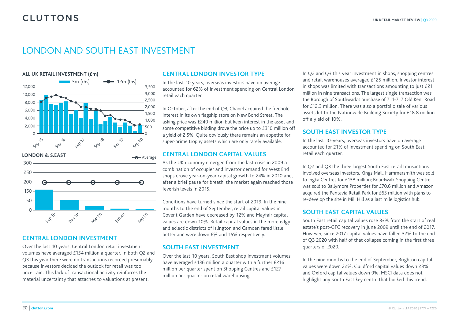### LONDON AND SOUTH EAST INVESTMENT



### **CENTRAL LONDON INVESTMENT**

Over the last 10 years, Central London retail investment volumes have averaged £154 million a quarter. In both Q2 and Q3 this year there were no transactions recorded presumably because investors decided the outlook for retail was too uncertain. This lack of transactional activity reinforces the material uncertainty that attaches to valuations at present.

### **CENTRAL LONDON INVESTOR TYPE**

In the last 10 years, overseas investors have on average accounted for 62% of investment spending on Central London retail each quarter.

In October, after the end of Q3, Chanel acquired the freehold interest in its own flagship store on New Bond Street. The asking price was £240 million but keen interest in the asset and some competitive bidding drove the price up to £310 million off a yield of 2.5%. Quite obviously there remains an appetite for super-prime trophy assets which are only rarely available.

#### **CENTRAL LONDON CAPITAL VALUES**

As the UK economy emerged from the last crisis in 2009 a combination of occupier and investor demand for West End shops drove year-on-year capital growth to 24% in 2010 and, after a brief pause for breath, the market again reached those feverish levels in 2015.

Conditions have turned since the start of 2019. In the nine months to the end of September, retail capital values in Covent Garden have decreased by 12% and Mayfair capital values are down 10%. Retail capital values in the more edgy and eclectic districts of Islington and Camden fared little better and were down 6% and 15% respectively.

#### **SOUTH EAST INVESTMENT**

Over the last 10 years, South East shop investment volumes have averaged £136 million a quarter with a further £216 million per quarter spent on Shopping Centres and £127 million per quarter on retail warehousing.

In Q2 and Q3 this year investment in shops, shopping centres and retail warehouses averaged £125 million. Investor interest in shops was limited with transactions amounting to just £21 million in nine transactions. The largest single transaction was the Borough of Southwark's purchase of 711-717 Old Kent Road for £12.3 million. There was also a portfolio sale of various assets let to the Nationwide Building Society for £18.8 million off a yield of 10%.

#### **SOUTH EAST INVESTOR TYPE**

In the last 10-years, overseas investors have on average accounted for 21% of investment spending on South East retail each quarter.

In Q2 and Q3 the three largest South East retail transactions involved overseas investors. Kings Mall, Hammersmith was sold to Ingka Centres for £138 million; Boardwalk Shopping Centre was sold to Ballymore Properties for £70.6 million and Amazon acquired the Pentavia Retail Park for £65 million with plans to re-develop the site in Mill Hill as a last mile logistics hub.

#### **SOUTH EAST CAPITAL VALUES**

South East retail capital values rose 33% from the start of real estate's post-GFC recovery in June 2009 until the end of 2017. However, since 2017 capital values have fallen 32% to the end of Q3 2020 with half of that collapse coming in the first three quarters of 2020.

In the nine months to the end of September, Brighton capital values were down 22%, Guildford capital values down 23% and Oxford capital values down 9%. MSCI data does not highlight any South East key centre that bucked this trend.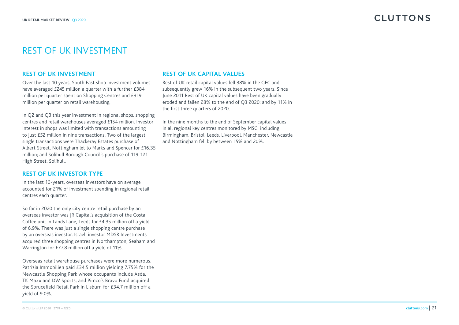### REST OF UK INVESTMENT

#### **REST OF UK INVESTMENT**

Over the last 10 years, South East shop investment volumes have averaged £245 million a quarter with a further £384 million per quarter spent on Shopping Centres and £319 million per quarter on retail warehousing.

In Q2 and Q3 this year investment in regional shops, shopping centres and retail warehouses averaged £154 million. Investor interest in shops was limited with transactions amounting to just £52 million in nine transactions. Two of the largest single transactions were Thackeray Estates purchase of 1 Albert Street, Nottingham let to Marks and Spencer for £16.35 million; and Solihull Borough Council's purchase of 119-121 High Street, Solihull.

#### **REST OF UK INVESTOR TYPE**

In the last 10-years, overseas investors have on average accounted for 21% of investment spending in regional retail centres each quarter.

So far in 2020 the only city centre retail purchase by an overseas investor was JR Capital's acquisition of the Costa Coffee unit in Lands Lane, Leeds for £4.35 million off a yield of 6.9%. There was just a single shopping centre purchase by an overseas investor. Israeli investor MDSR Investments acquired three shopping centres in Northampton, Seaham and Warrington for £77.8 million off a yield of 11%.

Overseas retail warehouse purchases were more numerous. Patrizia Immobilien paid £34.5 million yielding 7.75% for the Newcastle Shopping Park whose occupants include Asda, TK Maxx and DW Sports; and Pimco's Bravo Fund acquired the Sprucefield Retail Park in Lisburn for £34.7 million off a yield of 9.0%.

#### **REST OF UK CAPITAL VALUES**

Rest of UK retail capital values fell 38% in the GFC and subsequently grew 16% in the subsequent two years. Since June 2011 Rest of UK capital values have been gradually eroded and fallen 28% to the end of Q3 2020; and by 11% in the first three quarters of 2020.

In the nine months to the end of September capital values in all regional key centres monitored by MSCI including Birmingham, Bristol, Leeds, Liverpool, Manchester, Newcastle and Nottingham fell by between 15% and 20%.